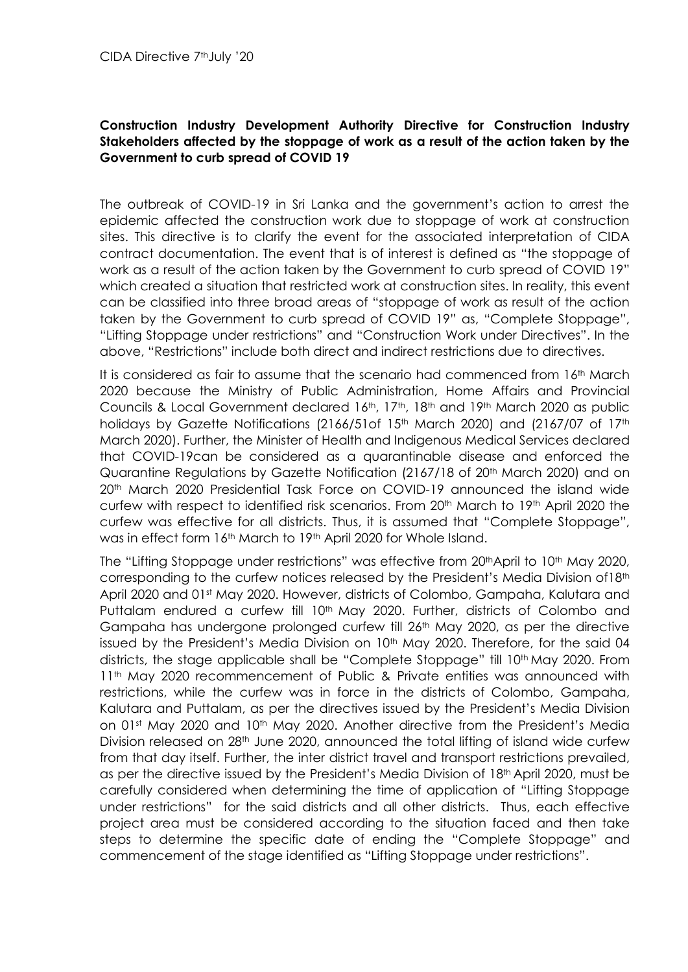## **Construction Industry Development Authority Directive for Construction Industry Stakeholders affected by the stoppage of work as a result of the action taken by the Government to curb spread of COVID 19**

The outbreak of COVID-19 in Sri Lanka and the government's action to arrest the epidemic affected the construction work due to stoppage of work at construction sites. This directive is to clarify the event for the associated interpretation of CIDA contract documentation. The event that is of interest is defined as "the stoppage of work as a result of the action taken by the Government to curb spread of COVID 19" which created a situation that restricted work at construction sites. In reality, this event can be classified into three broad areas of "stoppage of work as result of the action taken by the Government to curb spread of COVID 19" as, "Complete Stoppage", "Lifting Stoppage under restrictions" and "Construction Work under Directives". In the above, "Restrictions" include both direct and indirect restrictions due to directives.

It is considered as fair to assume that the scenario had commenced from 16th March 2020 because the Ministry of Public Administration, Home Affairs and Provincial Councils & Local Government declared 16th, 17th, 18th and 19th March 2020 as public holidays by Gazette Notifications (2166/51of 15<sup>th</sup> March 2020) and (2167/07 of 17<sup>th</sup> March 2020). Further, the Minister of Health and Indigenous Medical Services declared that COVID-19can be considered as a quarantinable disease and enforced the Quarantine Regulations by Gazette Notification (2167/18 of 20<sup>th</sup> March 2020) and on 20<sup>th</sup> March 2020 Presidential Task Force on COVID-19 announced the island wide curfew with respect to identified risk scenarios. From 20<sup>th</sup> March to 19<sup>th</sup> April 2020 the curfew was effective for all districts. Thus, it is assumed that "Complete Stoppage", was in effect form 16<sup>th</sup> March to 19<sup>th</sup> April 2020 for Whole Island.

The "Lifting Stoppage under restrictions" was effective from 20<sup>th</sup>April to 10<sup>th</sup> May 2020, corresponding to the curfew notices released by the President's Media Division of18th April 2020 and 01st May 2020. However, districts of Colombo, Gampaha, Kalutara and Puttalam endured a curfew till 10<sup>th</sup> May 2020. Further, districts of Colombo and Gampaha has undergone prolonged curfew till 26<sup>th</sup> May 2020, as per the directive issued by the President's Media Division on  $10<sup>th</sup>$  May 2020. Therefore, for the said 04 districts, the stage applicable shall be "Complete Stoppage" till 10<sup>th</sup> May 2020. From 11th May 2020 recommencement of Public & Private entities was announced with restrictions, while the curfew was in force in the districts of Colombo, Gampaha, Kalutara and Puttalam, as per the directives issued by the President's Media Division on 01st May 2020 and 10<sup>th</sup> May 2020. Another directive from the President's Media Division released on 28<sup>th</sup> June 2020, announced the total lifting of island wide curfew from that day itself. Further, the inter district travel and transport restrictions prevailed, as per the directive issued by the President's Media Division of 18th April 2020, must be carefully considered when determining the time of application of "Lifting Stoppage under restrictions" for the said districts and all other districts. Thus, each effective project area must be considered according to the situation faced and then take steps to determine the specific date of ending the "Complete Stoppage" and commencement of the stage identified as "Lifting Stoppage under restrictions".